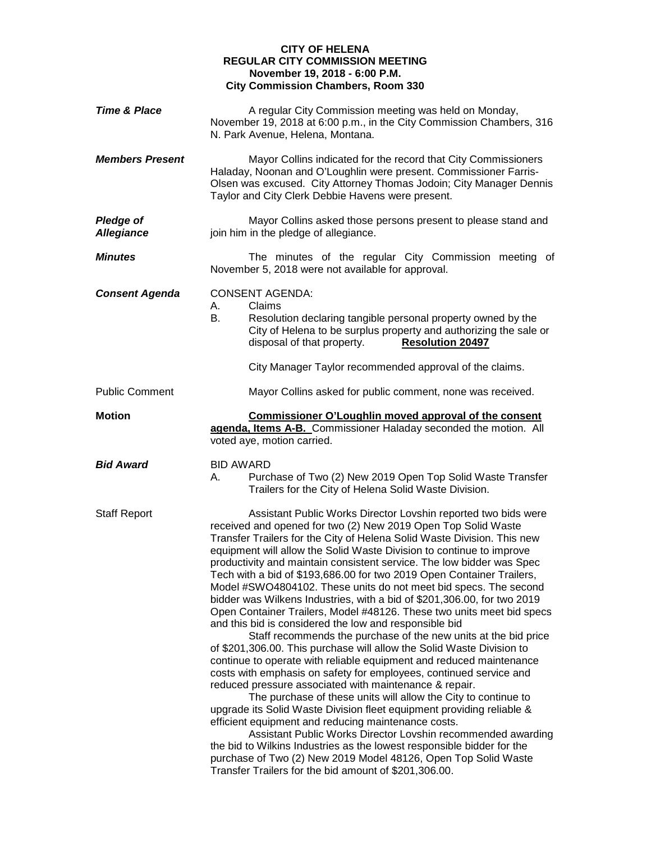## **CITY OF HELENA REGULAR CITY COMMISSION MEETING November 19, 2018 - 6:00 P.M. City Commission Chambers, Room 330**

| <b>Time &amp; Place</b>               | A regular City Commission meeting was held on Monday,<br>November 19, 2018 at 6:00 p.m., in the City Commission Chambers, 316<br>N. Park Avenue, Helena, Montana.                                                                                                                                                                                                                                                                                                                                                                                                                                                                                                                                                                                                                                                                                                                                                                                                                                                                                                                                                                                                                                                                                                                                                                                                                                                                                                                                                                                |
|---------------------------------------|--------------------------------------------------------------------------------------------------------------------------------------------------------------------------------------------------------------------------------------------------------------------------------------------------------------------------------------------------------------------------------------------------------------------------------------------------------------------------------------------------------------------------------------------------------------------------------------------------------------------------------------------------------------------------------------------------------------------------------------------------------------------------------------------------------------------------------------------------------------------------------------------------------------------------------------------------------------------------------------------------------------------------------------------------------------------------------------------------------------------------------------------------------------------------------------------------------------------------------------------------------------------------------------------------------------------------------------------------------------------------------------------------------------------------------------------------------------------------------------------------------------------------------------------------|
| <b>Members Present</b>                | Mayor Collins indicated for the record that City Commissioners<br>Haladay, Noonan and O'Loughlin were present. Commissioner Farris-<br>Olsen was excused. City Attorney Thomas Jodoin; City Manager Dennis<br>Taylor and City Clerk Debbie Havens were present.                                                                                                                                                                                                                                                                                                                                                                                                                                                                                                                                                                                                                                                                                                                                                                                                                                                                                                                                                                                                                                                                                                                                                                                                                                                                                  |
| <b>Pledge of</b><br><b>Allegiance</b> | Mayor Collins asked those persons present to please stand and<br>join him in the pledge of allegiance.                                                                                                                                                                                                                                                                                                                                                                                                                                                                                                                                                                                                                                                                                                                                                                                                                                                                                                                                                                                                                                                                                                                                                                                                                                                                                                                                                                                                                                           |
| <b>Minutes</b>                        | The minutes of the regular City Commission meeting of<br>November 5, 2018 were not available for approval.                                                                                                                                                                                                                                                                                                                                                                                                                                                                                                                                                                                                                                                                                                                                                                                                                                                                                                                                                                                                                                                                                                                                                                                                                                                                                                                                                                                                                                       |
| <b>Consent Agenda</b>                 | <b>CONSENT AGENDA:</b><br>Claims<br>А.<br>В.<br>Resolution declaring tangible personal property owned by the<br>City of Helena to be surplus property and authorizing the sale or<br><b>Resolution 20497</b><br>disposal of that property.<br>City Manager Taylor recommended approval of the claims.                                                                                                                                                                                                                                                                                                                                                                                                                                                                                                                                                                                                                                                                                                                                                                                                                                                                                                                                                                                                                                                                                                                                                                                                                                            |
| <b>Public Comment</b>                 | Mayor Collins asked for public comment, none was received.                                                                                                                                                                                                                                                                                                                                                                                                                                                                                                                                                                                                                                                                                                                                                                                                                                                                                                                                                                                                                                                                                                                                                                                                                                                                                                                                                                                                                                                                                       |
| <b>Motion</b>                         | Commissioner O'Loughlin moved approval of the consent<br>agenda, Items A-B. Commissioner Haladay seconded the motion. All<br>voted aye, motion carried.                                                                                                                                                                                                                                                                                                                                                                                                                                                                                                                                                                                                                                                                                                                                                                                                                                                                                                                                                                                                                                                                                                                                                                                                                                                                                                                                                                                          |
| <b>Bid Award</b>                      | <b>BID AWARD</b><br>Purchase of Two (2) New 2019 Open Top Solid Waste Transfer<br>А.<br>Trailers for the City of Helena Solid Waste Division.                                                                                                                                                                                                                                                                                                                                                                                                                                                                                                                                                                                                                                                                                                                                                                                                                                                                                                                                                                                                                                                                                                                                                                                                                                                                                                                                                                                                    |
| <b>Staff Report</b>                   | Assistant Public Works Director Lovshin reported two bids were<br>received and opened for two (2) New 2019 Open Top Solid Waste<br>Transfer Trailers for the City of Helena Solid Waste Division. This new<br>equipment will allow the Solid Waste Division to continue to improve<br>productivity and maintain consistent service. The low bidder was Spec<br>Tech with a bid of \$193,686.00 for two 2019 Open Container Trailers,<br>Model #SWO4804102. These units do not meet bid specs. The second<br>bidder was Wilkens Industries, with a bid of \$201,306.00, for two 2019<br>Open Container Trailers, Model #48126. These two units meet bid specs<br>and this bid is considered the low and responsible bid<br>Staff recommends the purchase of the new units at the bid price<br>of \$201,306.00. This purchase will allow the Solid Waste Division to<br>continue to operate with reliable equipment and reduced maintenance<br>costs with emphasis on safety for employees, continued service and<br>reduced pressure associated with maintenance & repair.<br>The purchase of these units will allow the City to continue to<br>upgrade its Solid Waste Division fleet equipment providing reliable &<br>efficient equipment and reducing maintenance costs.<br>Assistant Public Works Director Lovshin recommended awarding<br>the bid to Wilkins Industries as the lowest responsible bidder for the<br>purchase of Two (2) New 2019 Model 48126, Open Top Solid Waste<br>Transfer Trailers for the bid amount of \$201,306.00. |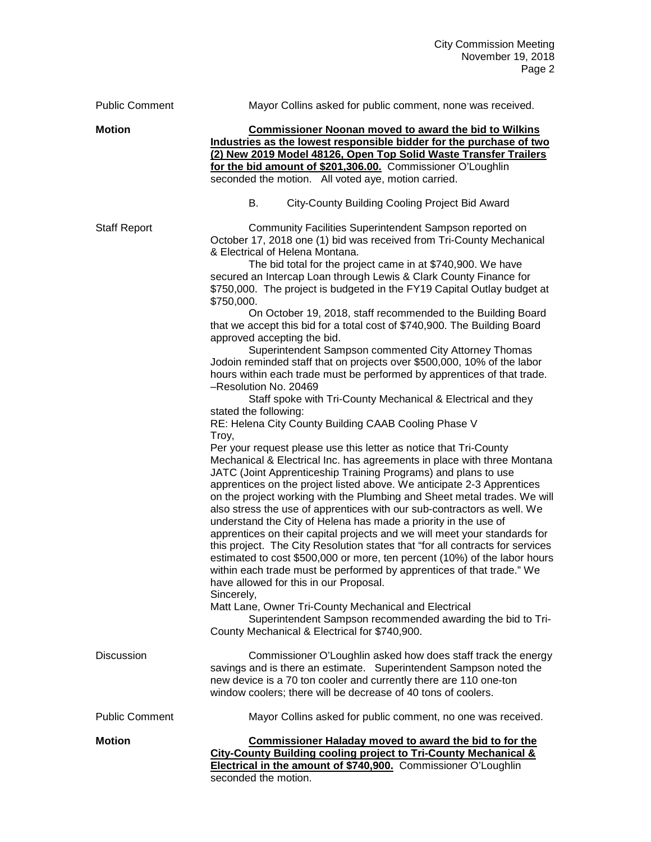| <b>Public Comment</b> | Mayor Collins asked for public comment, none was received.                                                                                                                                                                                                                                                                                                                                                                                                                                                                                                                                                                                                                                                                                                                                                                                                                                                                                                                                                                                                                                                                                                                                                                                                                                                                                                                                                                                                                                                                                                                                                                                                                                                                                                                                                                                                                                                                                                                                                                                               |
|-----------------------|----------------------------------------------------------------------------------------------------------------------------------------------------------------------------------------------------------------------------------------------------------------------------------------------------------------------------------------------------------------------------------------------------------------------------------------------------------------------------------------------------------------------------------------------------------------------------------------------------------------------------------------------------------------------------------------------------------------------------------------------------------------------------------------------------------------------------------------------------------------------------------------------------------------------------------------------------------------------------------------------------------------------------------------------------------------------------------------------------------------------------------------------------------------------------------------------------------------------------------------------------------------------------------------------------------------------------------------------------------------------------------------------------------------------------------------------------------------------------------------------------------------------------------------------------------------------------------------------------------------------------------------------------------------------------------------------------------------------------------------------------------------------------------------------------------------------------------------------------------------------------------------------------------------------------------------------------------------------------------------------------------------------------------------------------------|
| <b>Motion</b>         | <b>Commissioner Noonan moved to award the bid to Wilkins</b><br>Industries as the lowest responsible bidder for the purchase of two<br>(2) New 2019 Model 48126, Open Top Solid Waste Transfer Trailers<br>for the bid amount of \$201,306.00. Commissioner O'Loughlin<br>seconded the motion. All voted aye, motion carried.                                                                                                                                                                                                                                                                                                                                                                                                                                                                                                                                                                                                                                                                                                                                                                                                                                                                                                                                                                                                                                                                                                                                                                                                                                                                                                                                                                                                                                                                                                                                                                                                                                                                                                                            |
|                       | City-County Building Cooling Project Bid Award<br>В.                                                                                                                                                                                                                                                                                                                                                                                                                                                                                                                                                                                                                                                                                                                                                                                                                                                                                                                                                                                                                                                                                                                                                                                                                                                                                                                                                                                                                                                                                                                                                                                                                                                                                                                                                                                                                                                                                                                                                                                                     |
| <b>Staff Report</b>   | Community Facilities Superintendent Sampson reported on<br>October 17, 2018 one (1) bid was received from Tri-County Mechanical<br>& Electrical of Helena Montana.<br>The bid total for the project came in at \$740,900. We have<br>secured an Intercap Loan through Lewis & Clark County Finance for<br>\$750,000. The project is budgeted in the FY19 Capital Outlay budget at<br>\$750,000.<br>On October 19, 2018, staff recommended to the Building Board<br>that we accept this bid for a total cost of \$740,900. The Building Board<br>approved accepting the bid.<br>Superintendent Sampson commented City Attorney Thomas<br>Jodoin reminded staff that on projects over \$500,000, 10% of the labor<br>hours within each trade must be performed by apprentices of that trade.<br>-Resolution No. 20469<br>Staff spoke with Tri-County Mechanical & Electrical and they<br>stated the following:<br>RE: Helena City County Building CAAB Cooling Phase V<br>Troy,<br>Per your request please use this letter as notice that Tri-County<br>Mechanical & Electrical Inc. has agreements in place with three Montana<br>JATC (Joint Apprenticeship Training Programs) and plans to use<br>apprentices on the project listed above. We anticipate 2-3 Apprentices<br>on the project working with the Plumbing and Sheet metal trades. We will<br>also stress the use of apprentices with our sub-contractors as well. We<br>understand the City of Helena has made a priority in the use of<br>apprentices on their capital projects and we will meet your standards for<br>this project. The City Resolution states that "for all contracts for services<br>estimated to cost \$500,000 or more, ten percent (10%) of the labor hours<br>within each trade must be performed by apprentices of that trade." We<br>have allowed for this in our Proposal.<br>Sincerely,<br>Matt Lane, Owner Tri-County Mechanical and Electrical<br>Superintendent Sampson recommended awarding the bid to Tri-<br>County Mechanical & Electrical for \$740,900. |
| <b>Discussion</b>     | Commissioner O'Loughlin asked how does staff track the energy<br>savings and is there an estimate. Superintendent Sampson noted the<br>new device is a 70 ton cooler and currently there are 110 one-ton<br>window coolers; there will be decrease of 40 tons of coolers.                                                                                                                                                                                                                                                                                                                                                                                                                                                                                                                                                                                                                                                                                                                                                                                                                                                                                                                                                                                                                                                                                                                                                                                                                                                                                                                                                                                                                                                                                                                                                                                                                                                                                                                                                                                |
| <b>Public Comment</b> | Mayor Collins asked for public comment, no one was received.                                                                                                                                                                                                                                                                                                                                                                                                                                                                                                                                                                                                                                                                                                                                                                                                                                                                                                                                                                                                                                                                                                                                                                                                                                                                                                                                                                                                                                                                                                                                                                                                                                                                                                                                                                                                                                                                                                                                                                                             |
| <b>Motion</b>         | <b>Commissioner Haladay moved to award the bid to for the</b><br>City-County Building cooling project to Tri-County Mechanical &<br>Electrical in the amount of \$740,900. Commissioner O'Loughlin<br>seconded the motion.                                                                                                                                                                                                                                                                                                                                                                                                                                                                                                                                                                                                                                                                                                                                                                                                                                                                                                                                                                                                                                                                                                                                                                                                                                                                                                                                                                                                                                                                                                                                                                                                                                                                                                                                                                                                                               |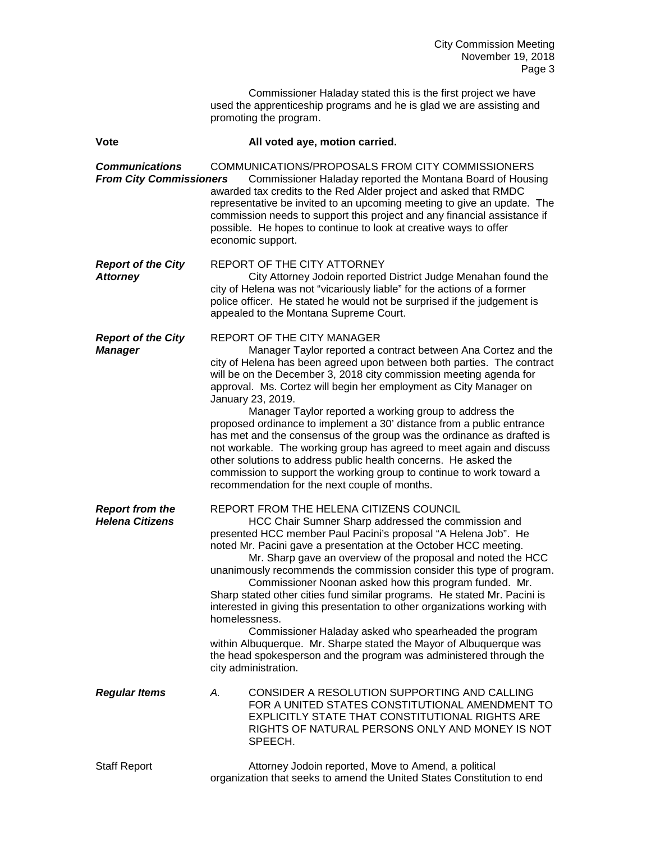|                                                         | Commissioner Haladay stated this is the first project we have<br>used the apprenticeship programs and he is glad we are assisting and<br>promoting the program.                                                                                                                                                                                                                                                                                                                                                                                                                                                                                                                                                                                                                                                                                 |
|---------------------------------------------------------|-------------------------------------------------------------------------------------------------------------------------------------------------------------------------------------------------------------------------------------------------------------------------------------------------------------------------------------------------------------------------------------------------------------------------------------------------------------------------------------------------------------------------------------------------------------------------------------------------------------------------------------------------------------------------------------------------------------------------------------------------------------------------------------------------------------------------------------------------|
| Vote                                                    | All voted aye, motion carried.                                                                                                                                                                                                                                                                                                                                                                                                                                                                                                                                                                                                                                                                                                                                                                                                                  |
| <b>Communications</b><br><b>From City Commissioners</b> | COMMUNICATIONS/PROPOSALS FROM CITY COMMISSIONERS<br>Commissioner Haladay reported the Montana Board of Housing<br>awarded tax credits to the Red Alder project and asked that RMDC<br>representative be invited to an upcoming meeting to give an update. The<br>commission needs to support this project and any financial assistance if<br>possible. He hopes to continue to look at creative ways to offer<br>economic support.                                                                                                                                                                                                                                                                                                                                                                                                              |
| <b>Report of the City</b><br><b>Attorney</b>            | REPORT OF THE CITY ATTORNEY<br>City Attorney Jodoin reported District Judge Menahan found the<br>city of Helena was not "vicariously liable" for the actions of a former<br>police officer. He stated he would not be surprised if the judgement is<br>appealed to the Montana Supreme Court.                                                                                                                                                                                                                                                                                                                                                                                                                                                                                                                                                   |
| <b>Report of the City</b><br><b>Manager</b>             | <b>REPORT OF THE CITY MANAGER</b><br>Manager Taylor reported a contract between Ana Cortez and the<br>city of Helena has been agreed upon between both parties. The contract<br>will be on the December 3, 2018 city commission meeting agenda for<br>approval. Ms. Cortez will begin her employment as City Manager on<br>January 23, 2019.<br>Manager Taylor reported a working group to address the<br>proposed ordinance to implement a 30' distance from a public entrance<br>has met and the consensus of the group was the ordinance as drafted is<br>not workable. The working group has agreed to meet again and discuss<br>other solutions to address public health concerns. He asked the<br>commission to support the working group to continue to work toward a<br>recommendation for the next couple of months.                   |
| <b>Report from the</b><br><b>Helena Citizens</b>        | REPORT FROM THE HELENA CITIZENS COUNCIL<br>HCC Chair Sumner Sharp addressed the commission and<br>presented HCC member Paul Pacini's proposal "A Helena Job". He<br>noted Mr. Pacini gave a presentation at the October HCC meeting.<br>Mr. Sharp gave an overview of the proposal and noted the HCC<br>unanimously recommends the commission consider this type of program.<br>Commissioner Noonan asked how this program funded. Mr.<br>Sharp stated other cities fund similar programs. He stated Mr. Pacini is<br>interested in giving this presentation to other organizations working with<br>homelessness.<br>Commissioner Haladay asked who spearheaded the program<br>within Albuquerque. Mr. Sharpe stated the Mayor of Albuquerque was<br>the head spokesperson and the program was administered through the<br>city administration. |
| <b>Regular Items</b>                                    | CONSIDER A RESOLUTION SUPPORTING AND CALLING<br>А.<br>FOR A UNITED STATES CONSTITUTIONAL AMENDMENT TO<br>EXPLICITLY STATE THAT CONSTITUTIONAL RIGHTS ARE<br>RIGHTS OF NATURAL PERSONS ONLY AND MONEY IS NOT<br>SPEECH.                                                                                                                                                                                                                                                                                                                                                                                                                                                                                                                                                                                                                          |
| <b>Staff Report</b>                                     | Attorney Jodoin reported, Move to Amend, a political<br>organization that seeks to amend the United States Constitution to end                                                                                                                                                                                                                                                                                                                                                                                                                                                                                                                                                                                                                                                                                                                  |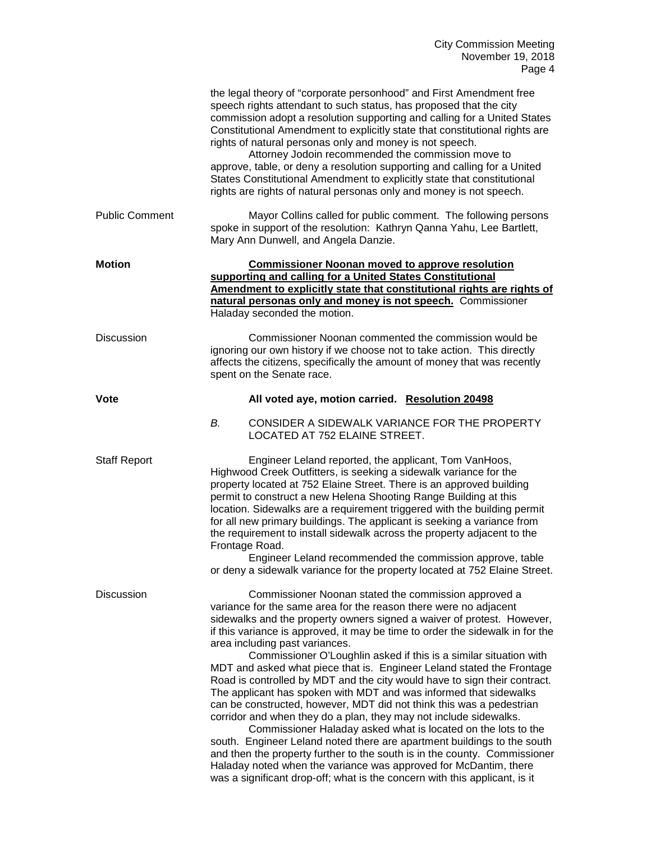|                       | the legal theory of "corporate personhood" and First Amendment free<br>speech rights attendant to such status, has proposed that the city<br>commission adopt a resolution supporting and calling for a United States<br>Constitutional Amendment to explicitly state that constitutional rights are<br>rights of natural personas only and money is not speech.<br>Attorney Jodoin recommended the commission move to<br>approve, table, or deny a resolution supporting and calling for a United<br>States Constitutional Amendment to explicitly state that constitutional<br>rights are rights of natural personas only and money is not speech.                                                                                                                                                                                                                                                                                                                                                                                                                                                                                          |
|-----------------------|-----------------------------------------------------------------------------------------------------------------------------------------------------------------------------------------------------------------------------------------------------------------------------------------------------------------------------------------------------------------------------------------------------------------------------------------------------------------------------------------------------------------------------------------------------------------------------------------------------------------------------------------------------------------------------------------------------------------------------------------------------------------------------------------------------------------------------------------------------------------------------------------------------------------------------------------------------------------------------------------------------------------------------------------------------------------------------------------------------------------------------------------------|
| <b>Public Comment</b> | Mayor Collins called for public comment. The following persons<br>spoke in support of the resolution: Kathryn Qanna Yahu, Lee Bartlett,<br>Mary Ann Dunwell, and Angela Danzie.                                                                                                                                                                                                                                                                                                                                                                                                                                                                                                                                                                                                                                                                                                                                                                                                                                                                                                                                                               |
| <b>Motion</b>         | <b>Commissioner Noonan moved to approve resolution</b><br>supporting and calling for a United States Constitutional<br>Amendment to explicitly state that constitutional rights are rights of<br>natural personas only and money is not speech. Commissioner<br>Haladay seconded the motion.                                                                                                                                                                                                                                                                                                                                                                                                                                                                                                                                                                                                                                                                                                                                                                                                                                                  |
| <b>Discussion</b>     | Commissioner Noonan commented the commission would be<br>ignoring our own history if we choose not to take action. This directly<br>affects the citizens, specifically the amount of money that was recently<br>spent on the Senate race.                                                                                                                                                                                                                                                                                                                                                                                                                                                                                                                                                                                                                                                                                                                                                                                                                                                                                                     |
| <b>Vote</b>           | All voted aye, motion carried. Resolution 20498                                                                                                                                                                                                                                                                                                                                                                                                                                                                                                                                                                                                                                                                                                                                                                                                                                                                                                                                                                                                                                                                                               |
|                       | В.<br>CONSIDER A SIDEWALK VARIANCE FOR THE PROPERTY<br>LOCATED AT 752 ELAINE STREET.                                                                                                                                                                                                                                                                                                                                                                                                                                                                                                                                                                                                                                                                                                                                                                                                                                                                                                                                                                                                                                                          |
| <b>Staff Report</b>   | Engineer Leland reported, the applicant, Tom VanHoos,<br>Highwood Creek Outfitters, is seeking a sidewalk variance for the<br>property located at 752 Elaine Street. There is an approved building<br>permit to construct a new Helena Shooting Range Building at this<br>location. Sidewalks are a requirement triggered with the building permit<br>for all new primary buildings. The applicant is seeking a variance from<br>the requirement to install sidewalk across the property adjacent to the<br>Frontage Road.<br>Engineer Leland recommended the commission approve, table<br>or deny a sidewalk variance for the property located at 752 Elaine Street.                                                                                                                                                                                                                                                                                                                                                                                                                                                                         |
| <b>Discussion</b>     | Commissioner Noonan stated the commission approved a<br>variance for the same area for the reason there were no adjacent<br>sidewalks and the property owners signed a waiver of protest. However,<br>if this variance is approved, it may be time to order the sidewalk in for the<br>area including past variances.<br>Commissioner O'Loughlin asked if this is a similar situation with<br>MDT and asked what piece that is. Engineer Leland stated the Frontage<br>Road is controlled by MDT and the city would have to sign their contract.<br>The applicant has spoken with MDT and was informed that sidewalks<br>can be constructed, however, MDT did not think this was a pedestrian<br>corridor and when they do a plan, they may not include sidewalks.<br>Commissioner Haladay asked what is located on the lots to the<br>south. Engineer Leland noted there are apartment buildings to the south<br>and then the property further to the south is in the county. Commissioner<br>Haladay noted when the variance was approved for McDantim, there<br>was a significant drop-off; what is the concern with this applicant, is it |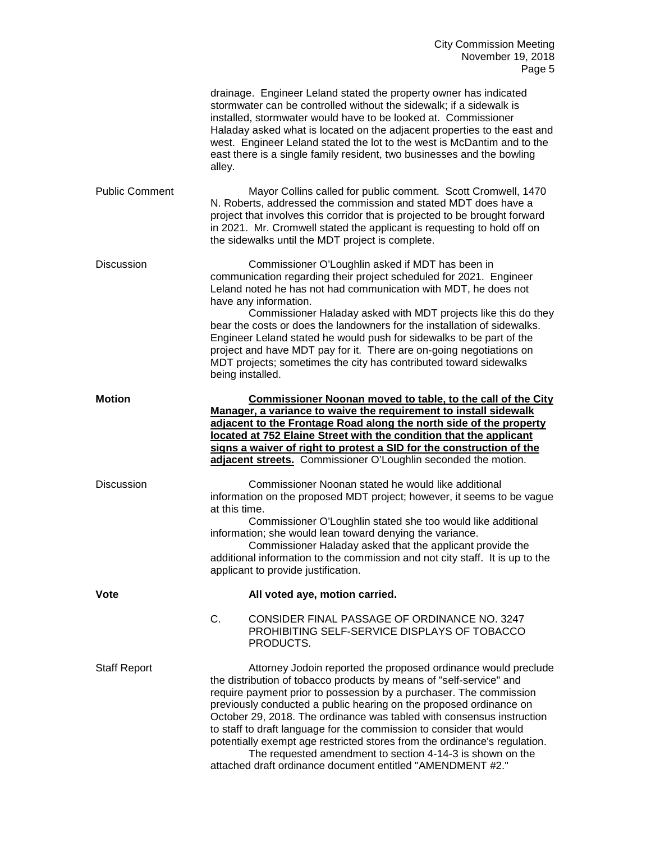|                       | drainage. Engineer Leland stated the property owner has indicated<br>stormwater can be controlled without the sidewalk; if a sidewalk is<br>installed, stormwater would have to be looked at. Commissioner<br>Haladay asked what is located on the adjacent properties to the east and<br>west. Engineer Leland stated the lot to the west is McDantim and to the<br>east there is a single family resident, two businesses and the bowling<br>alley.                                                                                                                                                                                      |
|-----------------------|--------------------------------------------------------------------------------------------------------------------------------------------------------------------------------------------------------------------------------------------------------------------------------------------------------------------------------------------------------------------------------------------------------------------------------------------------------------------------------------------------------------------------------------------------------------------------------------------------------------------------------------------|
| <b>Public Comment</b> | Mayor Collins called for public comment. Scott Cromwell, 1470<br>N. Roberts, addressed the commission and stated MDT does have a<br>project that involves this corridor that is projected to be brought forward<br>in 2021. Mr. Cromwell stated the applicant is requesting to hold off on<br>the sidewalks until the MDT project is complete.                                                                                                                                                                                                                                                                                             |
| <b>Discussion</b>     | Commissioner O'Loughlin asked if MDT has been in<br>communication regarding their project scheduled for 2021. Engineer<br>Leland noted he has not had communication with MDT, he does not<br>have any information.<br>Commissioner Haladay asked with MDT projects like this do they<br>bear the costs or does the landowners for the installation of sidewalks.<br>Engineer Leland stated he would push for sidewalks to be part of the<br>project and have MDT pay for it. There are on-going negotiations on<br>MDT projects; sometimes the city has contributed toward sidewalks<br>being installed.                                   |
| <b>Motion</b>         | Commissioner Noonan moved to table, to the call of the City<br>Manager, a variance to waive the requirement to install sidewalk<br>adjacent to the Frontage Road along the north side of the property<br>located at 752 Elaine Street with the condition that the applicant<br>signs a waiver of right to protest a SID for the construction of the<br>adjacent streets. Commissioner O'Loughlin seconded the motion.                                                                                                                                                                                                                      |
| <b>Discussion</b>     | Commissioner Noonan stated he would like additional<br>information on the proposed MDT project; however, it seems to be vague<br>at this time.<br>Commissioner O'Loughlin stated she too would like additional<br>information; she would lean toward denying the variance.<br>Commissioner Haladay asked that the applicant provide the<br>additional information to the commission and not city staff. It is up to the<br>applicant to provide justification.                                                                                                                                                                             |
| <b>Vote</b>           | All voted aye, motion carried.                                                                                                                                                                                                                                                                                                                                                                                                                                                                                                                                                                                                             |
|                       | C.<br>CONSIDER FINAL PASSAGE OF ORDINANCE NO. 3247<br>PROHIBITING SELF-SERVICE DISPLAYS OF TOBACCO<br>PRODUCTS.                                                                                                                                                                                                                                                                                                                                                                                                                                                                                                                            |
| <b>Staff Report</b>   | Attorney Jodoin reported the proposed ordinance would preclude<br>the distribution of tobacco products by means of "self-service" and<br>require payment prior to possession by a purchaser. The commission<br>previously conducted a public hearing on the proposed ordinance on<br>October 29, 2018. The ordinance was tabled with consensus instruction<br>to staff to draft language for the commission to consider that would<br>potentially exempt age restricted stores from the ordinance's regulation.<br>The requested amendment to section 4-14-3 is shown on the<br>attached draft ordinance document entitled "AMENDMENT #2." |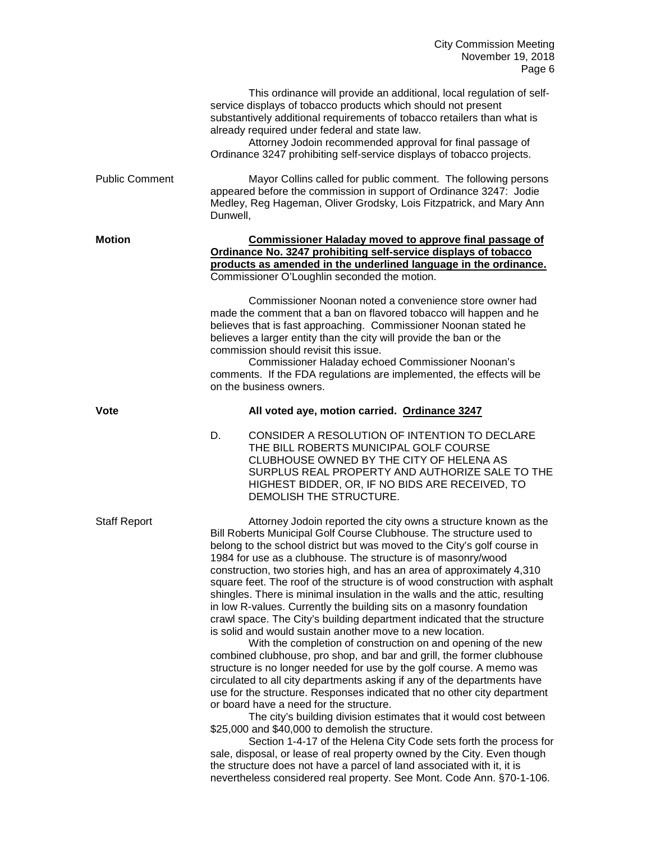|                       | This ordinance will provide an additional, local regulation of self-<br>service displays of tobacco products which should not present<br>substantively additional requirements of tobacco retailers than what is<br>already required under federal and state law.<br>Attorney Jodoin recommended approval for final passage of<br>Ordinance 3247 prohibiting self-service displays of tobacco projects.                                                                                                                                                                                                                                                                                                                                                                                                                                                                                                                                                                                                                                                                                                                                                                                                                                                                                                                                                                                                                                                                                                                                                                                         |
|-----------------------|-------------------------------------------------------------------------------------------------------------------------------------------------------------------------------------------------------------------------------------------------------------------------------------------------------------------------------------------------------------------------------------------------------------------------------------------------------------------------------------------------------------------------------------------------------------------------------------------------------------------------------------------------------------------------------------------------------------------------------------------------------------------------------------------------------------------------------------------------------------------------------------------------------------------------------------------------------------------------------------------------------------------------------------------------------------------------------------------------------------------------------------------------------------------------------------------------------------------------------------------------------------------------------------------------------------------------------------------------------------------------------------------------------------------------------------------------------------------------------------------------------------------------------------------------------------------------------------------------|
| <b>Public Comment</b> | Mayor Collins called for public comment. The following persons<br>appeared before the commission in support of Ordinance 3247: Jodie<br>Medley, Reg Hageman, Oliver Grodsky, Lois Fitzpatrick, and Mary Ann<br>Dunwell,                                                                                                                                                                                                                                                                                                                                                                                                                                                                                                                                                                                                                                                                                                                                                                                                                                                                                                                                                                                                                                                                                                                                                                                                                                                                                                                                                                         |
| <b>Motion</b>         | <b>Commissioner Haladay moved to approve final passage of</b><br>Ordinance No. 3247 prohibiting self-service displays of tobacco<br>products as amended in the underlined language in the ordinance.<br>Commissioner O'Loughlin seconded the motion.                                                                                                                                                                                                                                                                                                                                                                                                                                                                                                                                                                                                                                                                                                                                                                                                                                                                                                                                                                                                                                                                                                                                                                                                                                                                                                                                            |
|                       | Commissioner Noonan noted a convenience store owner had<br>made the comment that a ban on flavored tobacco will happen and he<br>believes that is fast approaching. Commissioner Noonan stated he<br>believes a larger entity than the city will provide the ban or the<br>commission should revisit this issue.<br>Commissioner Haladay echoed Commissioner Noonan's<br>comments. If the FDA regulations are implemented, the effects will be<br>on the business owners.                                                                                                                                                                                                                                                                                                                                                                                                                                                                                                                                                                                                                                                                                                                                                                                                                                                                                                                                                                                                                                                                                                                       |
| Vote                  | All voted aye, motion carried. Ordinance 3247                                                                                                                                                                                                                                                                                                                                                                                                                                                                                                                                                                                                                                                                                                                                                                                                                                                                                                                                                                                                                                                                                                                                                                                                                                                                                                                                                                                                                                                                                                                                                   |
|                       | CONSIDER A RESOLUTION OF INTENTION TO DECLARE<br>D.<br>THE BILL ROBERTS MUNICIPAL GOLF COURSE<br>CLUBHOUSE OWNED BY THE CITY OF HELENA AS<br>SURPLUS REAL PROPERTY AND AUTHORIZE SALE TO THE<br>HIGHEST BIDDER, OR, IF NO BIDS ARE RECEIVED, TO<br>DEMOLISH THE STRUCTURE.                                                                                                                                                                                                                                                                                                                                                                                                                                                                                                                                                                                                                                                                                                                                                                                                                                                                                                                                                                                                                                                                                                                                                                                                                                                                                                                      |
| <b>Staff Report</b>   | Attorney Jodoin reported the city owns a structure known as the<br>Bill Roberts Municipal Golf Course Clubhouse. The structure used to<br>belong to the school district but was moved to the City's golf course in<br>1984 for use as a clubhouse. The structure is of masonry/wood<br>construction, two stories high, and has an area of approximately 4,310<br>square feet. The roof of the structure is of wood construction with asphalt<br>shingles. There is minimal insulation in the walls and the attic, resulting<br>in low R-values. Currently the building sits on a masonry foundation<br>crawl space. The City's building department indicated that the structure<br>is solid and would sustain another move to a new location.<br>With the completion of construction on and opening of the new<br>combined clubhouse, pro shop, and bar and grill, the former clubhouse<br>structure is no longer needed for use by the golf course. A memo was<br>circulated to all city departments asking if any of the departments have<br>use for the structure. Responses indicated that no other city department<br>or board have a need for the structure.<br>The city's building division estimates that it would cost between<br>\$25,000 and \$40,000 to demolish the structure.<br>Section 1-4-17 of the Helena City Code sets forth the process for<br>sale, disposal, or lease of real property owned by the City. Even though<br>the structure does not have a parcel of land associated with it, it is<br>nevertheless considered real property. See Mont. Code Ann. §70-1-106. |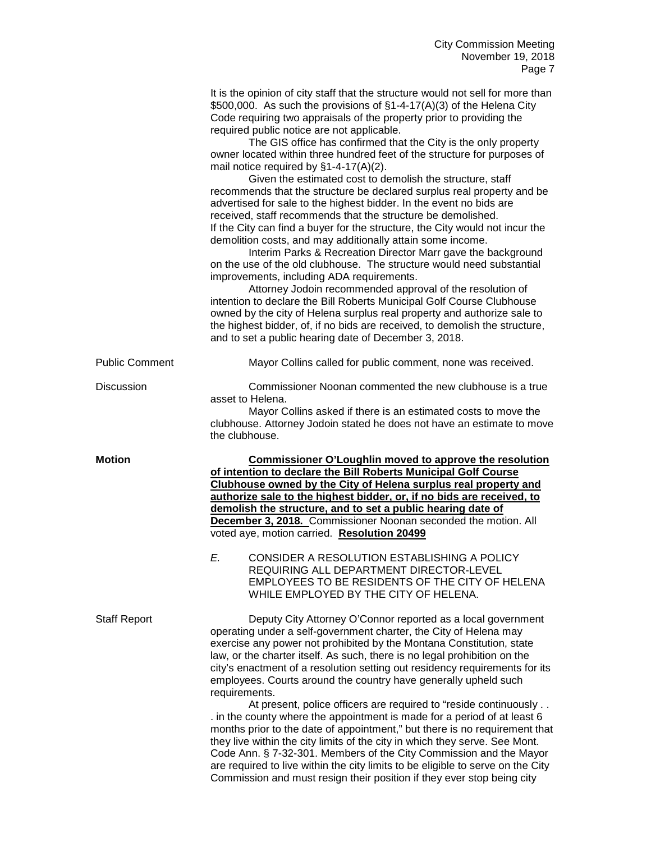|                       | It is the opinion of city staff that the structure would not sell for more than<br>\$500,000. As such the provisions of §1-4-17(A)(3) of the Helena City<br>Code requiring two appraisals of the property prior to providing the<br>required public notice are not applicable.<br>The GIS office has confirmed that the City is the only property<br>owner located within three hundred feet of the structure for purposes of<br>mail notice required by $§1-4-17(A)(2)$ .<br>Given the estimated cost to demolish the structure, staff<br>recommends that the structure be declared surplus real property and be<br>advertised for sale to the highest bidder. In the event no bids are<br>received, staff recommends that the structure be demolished.<br>If the City can find a buyer for the structure, the City would not incur the<br>demolition costs, and may additionally attain some income.<br>Interim Parks & Recreation Director Marr gave the background<br>on the use of the old clubhouse. The structure would need substantial<br>improvements, including ADA requirements.<br>Attorney Jodoin recommended approval of the resolution of<br>intention to declare the Bill Roberts Municipal Golf Course Clubhouse<br>owned by the city of Helena surplus real property and authorize sale to<br>the highest bidder, of, if no bids are received, to demolish the structure,<br>and to set a public hearing date of December 3, 2018. |
|-----------------------|-------------------------------------------------------------------------------------------------------------------------------------------------------------------------------------------------------------------------------------------------------------------------------------------------------------------------------------------------------------------------------------------------------------------------------------------------------------------------------------------------------------------------------------------------------------------------------------------------------------------------------------------------------------------------------------------------------------------------------------------------------------------------------------------------------------------------------------------------------------------------------------------------------------------------------------------------------------------------------------------------------------------------------------------------------------------------------------------------------------------------------------------------------------------------------------------------------------------------------------------------------------------------------------------------------------------------------------------------------------------------------------------------------------------------------------------------------|
| <b>Public Comment</b> | Mayor Collins called for public comment, none was received.                                                                                                                                                                                                                                                                                                                                                                                                                                                                                                                                                                                                                                                                                                                                                                                                                                                                                                                                                                                                                                                                                                                                                                                                                                                                                                                                                                                           |
| <b>Discussion</b>     | Commissioner Noonan commented the new clubhouse is a true<br>asset to Helena.<br>Mayor Collins asked if there is an estimated costs to move the<br>clubhouse. Attorney Jodoin stated he does not have an estimate to move<br>the clubhouse.                                                                                                                                                                                                                                                                                                                                                                                                                                                                                                                                                                                                                                                                                                                                                                                                                                                                                                                                                                                                                                                                                                                                                                                                           |
| <b>Motion</b>         | <b>Commissioner O'Loughlin moved to approve the resolution</b><br>of intention to declare the Bill Roberts Municipal Golf Course<br>Clubhouse owned by the City of Helena surplus real property and<br>authorize sale to the highest bidder, or, if no bids are received, to<br>demolish the structure, and to set a public hearing date of<br>December 3, 2018. Commissioner Noonan seconded the motion. All<br>voted aye, motion carried. Resolution 20499<br>E. CONSIDER A RESOLUTION ESTABLISHING A POLICY<br>REQUIRING ALL DEPARTMENT DIRECTOR-LEVEL<br>EMPLOYEES TO BE RESIDENTS OF THE CITY OF HELENA<br>WHILE EMPLOYED BY THE CITY OF HELENA.                                                                                                                                                                                                                                                                                                                                                                                                                                                                                                                                                                                                                                                                                                                                                                                                 |
| <b>Staff Report</b>   | Deputy City Attorney O'Connor reported as a local government<br>operating under a self-government charter, the City of Helena may<br>exercise any power not prohibited by the Montana Constitution, state<br>law, or the charter itself. As such, there is no legal prohibition on the<br>city's enactment of a resolution setting out residency requirements for its<br>employees. Courts around the country have generally upheld such<br>requirements.<br>At present, police officers are required to "reside continuously<br>. in the county where the appointment is made for a period of at least 6<br>months prior to the date of appointment," but there is no requirement that<br>they live within the city limits of the city in which they serve. See Mont.<br>Code Ann. § 7-32-301. Members of the City Commission and the Mayor<br>are required to live within the city limits to be eligible to serve on the City                                                                                                                                                                                                                                                                                                                                                                                                                                                                                                                       |

Commission and must resign their position if they ever stop being city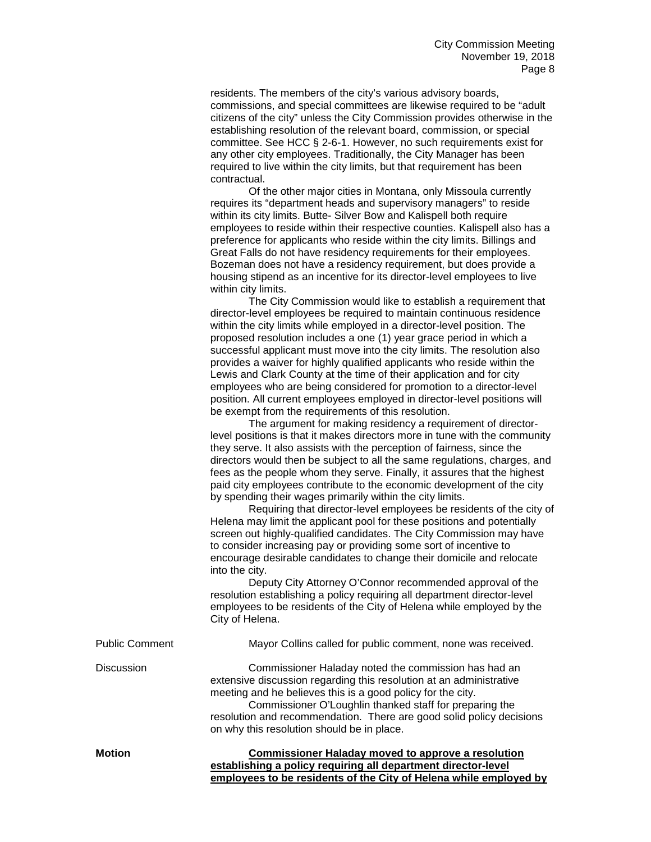residents. The members of the city's various advisory boards, commissions, and special committees are likewise required to be "adult citizens of the city" unless the City Commission provides otherwise in the establishing resolution of the relevant board, commission, or special committee. See HCC § 2-6-1. However, no such requirements exist for any other city employees. Traditionally, the City Manager has been required to live within the city limits, but that requirement has been contractual.

Of the other major cities in Montana, only Missoula currently requires its "department heads and supervisory managers" to reside within its city limits. Butte- Silver Bow and Kalispell both require employees to reside within their respective counties. Kalispell also has a preference for applicants who reside within the city limits. Billings and Great Falls do not have residency requirements for their employees. Bozeman does not have a residency requirement, but does provide a housing stipend as an incentive for its director-level employees to live within city limits.

The City Commission would like to establish a requirement that director-level employees be required to maintain continuous residence within the city limits while employed in a director-level position. The proposed resolution includes a one (1) year grace period in which a successful applicant must move into the city limits. The resolution also provides a waiver for highly qualified applicants who reside within the Lewis and Clark County at the time of their application and for city employees who are being considered for promotion to a director-level position. All current employees employed in director-level positions will be exempt from the requirements of this resolution.

The argument for making residency a requirement of directorlevel positions is that it makes directors more in tune with the community they serve. It also assists with the perception of fairness, since the directors would then be subject to all the same regulations, charges, and fees as the people whom they serve. Finally, it assures that the highest paid city employees contribute to the economic development of the city by spending their wages primarily within the city limits.

Requiring that director-level employees be residents of the city of Helena may limit the applicant pool for these positions and potentially screen out highly-qualified candidates. The City Commission may have to consider increasing pay or providing some sort of incentive to encourage desirable candidates to change their domicile and relocate into the city.

Deputy City Attorney O'Connor recommended approval of the resolution establishing a policy requiring all department director-level employees to be residents of the City of Helena while employed by the City of Helena.

| <b>Public Comment</b> | Mayor Collins called for public comment, none was received.                                                                                                                                                                                                                                                                                                                 |
|-----------------------|-----------------------------------------------------------------------------------------------------------------------------------------------------------------------------------------------------------------------------------------------------------------------------------------------------------------------------------------------------------------------------|
| <b>Discussion</b>     | Commissioner Haladay noted the commission has had an<br>extensive discussion regarding this resolution at an administrative<br>meeting and he believes this is a good policy for the city.<br>Commissioner O'Loughlin thanked staff for preparing the<br>resolution and recommendation. There are good solid policy decisions<br>on why this resolution should be in place. |
| <b>Motion</b>         | <b>Commissioner Haladay moved to approve a resolution</b><br>establishing a policy requiring all department director-level<br>employees to be residents of the City of Helena while employed by                                                                                                                                                                             |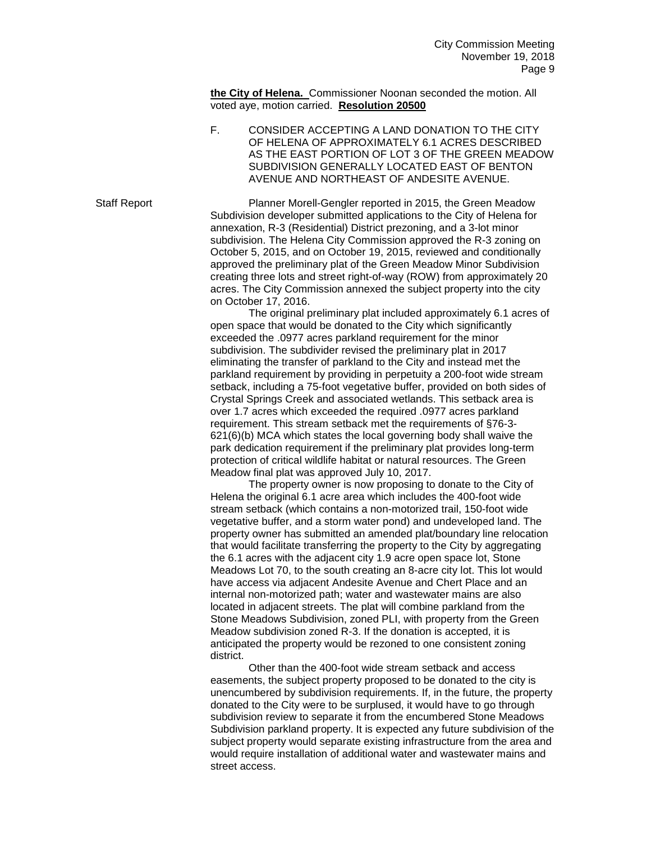**the City of Helena.** Commissioner Noonan seconded the motion. All voted aye, motion carried. **Resolution 20500**

F. CONSIDER ACCEPTING A LAND DONATION TO THE CITY OF HELENA OF APPROXIMATELY 6.1 ACRES DESCRIBED AS THE EAST PORTION OF LOT 3 OF THE GREEN MEADOW SUBDIVISION GENERALLY LOCATED EAST OF BENTON AVENUE AND NORTHEAST OF ANDESITE AVENUE.

Staff Report Planner Morell-Gengler reported in 2015, the Green Meadow Subdivision developer submitted applications to the City of Helena for annexation, R-3 (Residential) District prezoning, and a 3-lot minor subdivision. The Helena City Commission approved the R-3 zoning on October 5, 2015, and on October 19, 2015, reviewed and conditionally approved the preliminary plat of the Green Meadow Minor Subdivision creating three lots and street right-of-way (ROW) from approximately 20 acres. The City Commission annexed the subject property into the city on October 17, 2016.

> The original preliminary plat included approximately 6.1 acres of open space that would be donated to the City which significantly exceeded the .0977 acres parkland requirement for the minor subdivision. The subdivider revised the preliminary plat in 2017 eliminating the transfer of parkland to the City and instead met the parkland requirement by providing in perpetuity a 200-foot wide stream setback, including a 75-foot vegetative buffer, provided on both sides of Crystal Springs Creek and associated wetlands. This setback area is over 1.7 acres which exceeded the required .0977 acres parkland requirement. This stream setback met the requirements of §76-3- 621(6)(b) MCA which states the local governing body shall waive the park dedication requirement if the preliminary plat provides long-term protection of critical wildlife habitat or natural resources. The Green Meadow final plat was approved July 10, 2017.

> The property owner is now proposing to donate to the City of Helena the original 6.1 acre area which includes the 400-foot wide stream setback (which contains a non-motorized trail, 150-foot wide vegetative buffer, and a storm water pond) and undeveloped land. The property owner has submitted an amended plat/boundary line relocation that would facilitate transferring the property to the City by aggregating the 6.1 acres with the adjacent city 1.9 acre open space lot, Stone Meadows Lot 70, to the south creating an 8-acre city lot. This lot would have access via adjacent Andesite Avenue and Chert Place and an internal non-motorized path; water and wastewater mains are also located in adjacent streets. The plat will combine parkland from the Stone Meadows Subdivision, zoned PLI, with property from the Green Meadow subdivision zoned R-3. If the donation is accepted, it is anticipated the property would be rezoned to one consistent zoning district.

Other than the 400-foot wide stream setback and access easements, the subject property proposed to be donated to the city is unencumbered by subdivision requirements. If, in the future, the property donated to the City were to be surplused, it would have to go through subdivision review to separate it from the encumbered Stone Meadows Subdivision parkland property. It is expected any future subdivision of the subject property would separate existing infrastructure from the area and would require installation of additional water and wastewater mains and street access.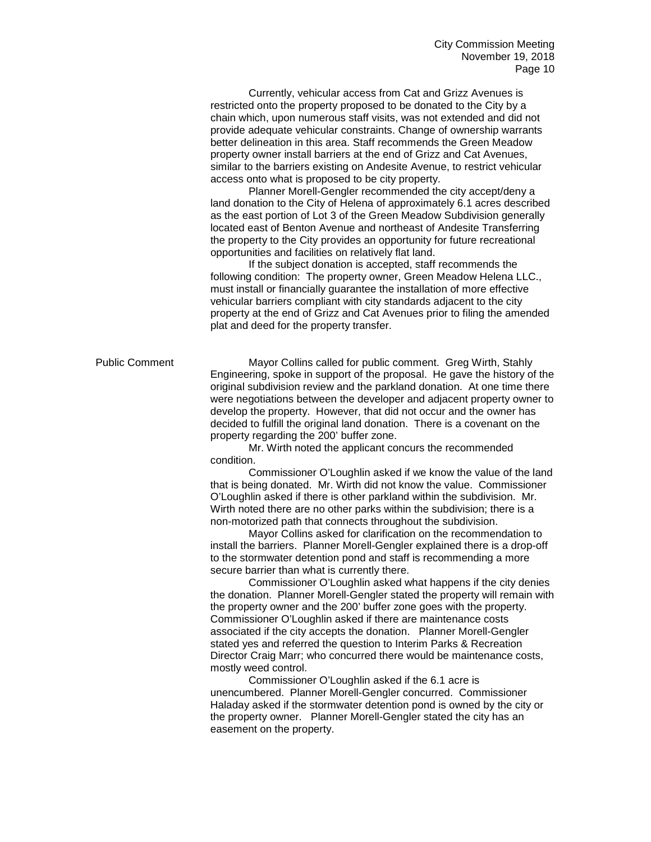Currently, vehicular access from Cat and Grizz Avenues is restricted onto the property proposed to be donated to the City by a chain which, upon numerous staff visits, was not extended and did not provide adequate vehicular constraints. Change of ownership warrants better delineation in this area. Staff recommends the Green Meadow property owner install barriers at the end of Grizz and Cat Avenues, similar to the barriers existing on Andesite Avenue, to restrict vehicular access onto what is proposed to be city property.

Planner Morell-Gengler recommended the city accept/deny a land donation to the City of Helena of approximately 6.1 acres described as the east portion of Lot 3 of the Green Meadow Subdivision generally located east of Benton Avenue and northeast of Andesite Transferring the property to the City provides an opportunity for future recreational opportunities and facilities on relatively flat land.

If the subject donation is accepted, staff recommends the following condition: The property owner, Green Meadow Helena LLC., must install or financially guarantee the installation of more effective vehicular barriers compliant with city standards adjacent to the city property at the end of Grizz and Cat Avenues prior to filing the amended plat and deed for the property transfer.

Public Comment Mayor Collins called for public comment. Greg Wirth, Stahly Engineering, spoke in support of the proposal. He gave the history of the original subdivision review and the parkland donation. At one time there were negotiations between the developer and adjacent property owner to develop the property. However, that did not occur and the owner has decided to fulfill the original land donation. There is a covenant on the property regarding the 200' buffer zone.

Mr. Wirth noted the applicant concurs the recommended condition.

Commissioner O'Loughlin asked if we know the value of the land that is being donated. Mr. Wirth did not know the value. Commissioner O'Loughlin asked if there is other parkland within the subdivision. Mr. Wirth noted there are no other parks within the subdivision; there is a non-motorized path that connects throughout the subdivision.

Mayor Collins asked for clarification on the recommendation to install the barriers. Planner Morell-Gengler explained there is a drop-off to the stormwater detention pond and staff is recommending a more secure barrier than what is currently there.

Commissioner O'Loughlin asked what happens if the city denies the donation. Planner Morell-Gengler stated the property will remain with the property owner and the 200' buffer zone goes with the property. Commissioner O'Loughlin asked if there are maintenance costs associated if the city accepts the donation. Planner Morell-Gengler stated yes and referred the question to Interim Parks & Recreation Director Craig Marr; who concurred there would be maintenance costs, mostly weed control.

Commissioner O'Loughlin asked if the 6.1 acre is unencumbered. Planner Morell-Gengler concurred. Commissioner Haladay asked if the stormwater detention pond is owned by the city or the property owner. Planner Morell-Gengler stated the city has an easement on the property.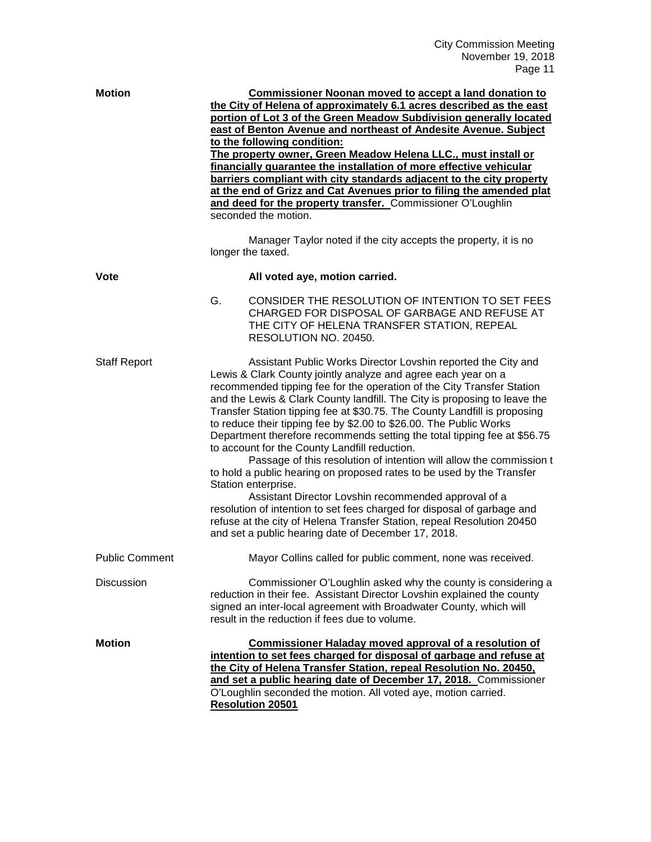| <b>Motion</b>         | <b>Commissioner Noonan moved to accept a land donation to</b><br>the City of Helena of approximately 6.1 acres described as the east<br>portion of Lot 3 of the Green Meadow Subdivision generally located<br>east of Benton Avenue and northeast of Andesite Avenue. Subject<br>to the following condition:<br>The property owner, Green Meadow Helena LLC., must install or<br>financially guarantee the installation of more effective vehicular<br>barriers compliant with city standards adjacent to the city property<br>at the end of Grizz and Cat Avenues prior to filing the amended plat<br>and deed for the property transfer. Commissioner O'Loughlin<br>seconded the motion.<br>Manager Taylor noted if the city accepts the property, it is no<br>longer the taxed.                                                                                                                                                                                                                               |
|-----------------------|------------------------------------------------------------------------------------------------------------------------------------------------------------------------------------------------------------------------------------------------------------------------------------------------------------------------------------------------------------------------------------------------------------------------------------------------------------------------------------------------------------------------------------------------------------------------------------------------------------------------------------------------------------------------------------------------------------------------------------------------------------------------------------------------------------------------------------------------------------------------------------------------------------------------------------------------------------------------------------------------------------------|
| Vote                  | All voted aye, motion carried.                                                                                                                                                                                                                                                                                                                                                                                                                                                                                                                                                                                                                                                                                                                                                                                                                                                                                                                                                                                   |
|                       | G.<br>CONSIDER THE RESOLUTION OF INTENTION TO SET FEES<br>CHARGED FOR DISPOSAL OF GARBAGE AND REFUSE AT<br>THE CITY OF HELENA TRANSFER STATION, REPEAL<br>RESOLUTION NO. 20450.                                                                                                                                                                                                                                                                                                                                                                                                                                                                                                                                                                                                                                                                                                                                                                                                                                  |
| <b>Staff Report</b>   | Assistant Public Works Director Lovshin reported the City and<br>Lewis & Clark County jointly analyze and agree each year on a<br>recommended tipping fee for the operation of the City Transfer Station<br>and the Lewis & Clark County landfill. The City is proposing to leave the<br>Transfer Station tipping fee at \$30.75. The County Landfill is proposing<br>to reduce their tipping fee by \$2.00 to \$26.00. The Public Works<br>Department therefore recommends setting the total tipping fee at \$56.75<br>to account for the County Landfill reduction.<br>Passage of this resolution of intention will allow the commission t<br>to hold a public hearing on proposed rates to be used by the Transfer<br>Station enterprise.<br>Assistant Director Lovshin recommended approval of a<br>resolution of intention to set fees charged for disposal of garbage and<br>refuse at the city of Helena Transfer Station, repeal Resolution 20450<br>and set a public hearing date of December 17, 2018. |
| <b>Public Comment</b> | Mayor Collins called for public comment, none was received.                                                                                                                                                                                                                                                                                                                                                                                                                                                                                                                                                                                                                                                                                                                                                                                                                                                                                                                                                      |
| <b>Discussion</b>     | Commissioner O'Loughlin asked why the county is considering a<br>reduction in their fee. Assistant Director Lovshin explained the county<br>signed an inter-local agreement with Broadwater County, which will<br>result in the reduction if fees due to volume.                                                                                                                                                                                                                                                                                                                                                                                                                                                                                                                                                                                                                                                                                                                                                 |
| <b>Motion</b>         | <b>Commissioner Haladay moved approval of a resolution of</b><br>intention to set fees charged for disposal of garbage and refuse at<br>the City of Helena Transfer Station, repeal Resolution No. 20450,<br>and set a public hearing date of December 17, 2018. Commissioner<br>O'Loughlin seconded the motion. All voted aye, motion carried.<br><b>Resolution 20501</b>                                                                                                                                                                                                                                                                                                                                                                                                                                                                                                                                                                                                                                       |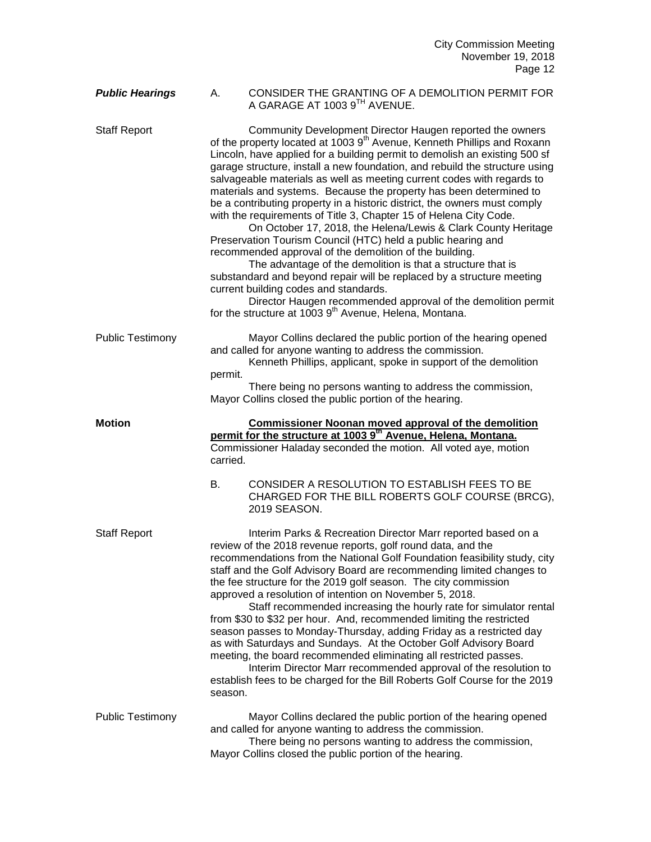City Commission Meeting November 19, 2018 Page 12

## *Public Hearings* A. CONSIDER THE GRANTING OF A DEMOLITION PERMIT FOR A GARAGE AT 1003 9<sup>TH</sup> AVENUE.

Staff Report Community Development Director Haugen reported the owners of the property located at 1003 9<sup>th</sup> Avenue, Kenneth Phillips and Roxann Lincoln, have applied for a building permit to demolish an existing 500 sf garage structure, install a new foundation, and rebuild the structure using salvageable materials as well as meeting current codes with regards to materials and systems. Because the property has been determined to be a contributing property in a historic district, the owners must comply with the requirements of Title 3, Chapter 15 of Helena City Code. On October 17, 2018, the Helena/Lewis & Clark County Heritage Preservation Tourism Council (HTC) held a public hearing and recommended approval of the demolition of the building. The advantage of the demolition is that a structure that is substandard and beyond repair will be replaced by a structure meeting current building codes and standards. Director Haugen recommended approval of the demolition permit for the structure at 1003  $9<sup>th</sup>$  Avenue, Helena, Montana. Public Testimony Mayor Collins declared the public portion of the hearing opened and called for anyone wanting to address the commission. Kenneth Phillips, applicant, spoke in support of the demolition permit. There being no persons wanting to address the commission, Mayor Collins closed the public portion of the hearing. **Motion Commissioner Noonan moved approval of the demolition permit for the structure at 1003 9th Avenue, Helena, Montana.** Commissioner Haladay seconded the motion. All voted aye, motion carried. B. CONSIDER A RESOLUTION TO ESTABLISH FEES TO BE CHARGED FOR THE BILL ROBERTS GOLF COURSE (BRCG), 2019 SEASON. Staff Report **Interim Parks & Recreation Director Marr reported based on a** review of the 2018 revenue reports, golf round data, and the recommendations from the National Golf Foundation feasibility study, city staff and the Golf Advisory Board are recommending limited changes to the fee structure for the 2019 golf season. The city commission approved a resolution of intention on November 5, 2018. Staff recommended increasing the hourly rate for simulator rental from \$30 to \$32 per hour. And, recommended limiting the restricted season passes to Monday-Thursday, adding Friday as a restricted day as with Saturdays and Sundays. At the October Golf Advisory Board meeting, the board recommended eliminating all restricted passes. Interim Director Marr recommended approval of the resolution to establish fees to be charged for the Bill Roberts Golf Course for the 2019 season. Public Testimony Mayor Collins declared the public portion of the hearing opened and called for anyone wanting to address the commission. There being no persons wanting to address the commission, Mayor Collins closed the public portion of the hearing.